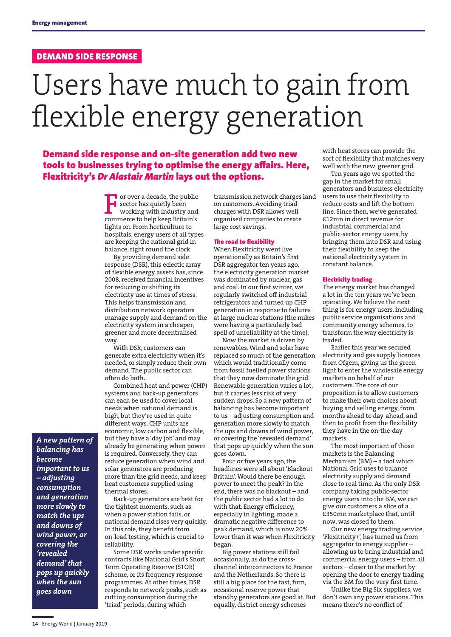### DEMAND SIDE RESPONSE

# Users have much to gain from flexible energy generation

Demand side response and on-site generation add two new tools to businesses trying to optimise the energy affairs. Here, Flexitricity's *Dr Alastair Martin* lays out the options.

> F or over a decade, the public  $\blacksquare$  sector has quietly been working with industry and commerce to help keep Britain's lights on. From horticulture to hospitals, energy users of all types are keeping the national grid in balance, right round the clock.

By providing demand side response (DSR), this eclectic array of flexible energy assets has, since 2008, received financial incentives for reducing or shifting its electricity use at times of stress. This helps transmission and distribution network operators manage supply and demand on the electricity system in a cheaper, greener and more decentralised way.

With DSR, customers can generate extra electricity when it's needed, or simply reduce their own demand. The public sector can often do both.

Combined heat and power (CHP) systems and back-up generators can each be used to cover local needs when national demand is high, but they're used in quite different ways. CHP units are economic, low carbon and flexible, but they have a 'day job' and may already be generating when power is required. Conversely, they can reduce generation when wind and solar generators are producing more than the grid needs, and keep heat customers supplied using thermal stores.

Back-up generators are best for the tightest moments, such as when a power station fails, or national demand rises very quickly. In this role, they benefit from on-load testing, which is crucial to reliability.

Some DSR works under specific contracts like National Grid's Short Term Operating Reserve (STOR) scheme, or its frequency response programmes. At other times, DSR responds to network peaks, such as cutting consumption during the 'triad' periods, during which

transmission network charges land on customers. Avoiding triad charges with DSR allows well organised companies to create large cost savings.

#### The road to flexibility

When Flexitricity went live operationally as Britain's first DSR aggregator ten years ago, the electricity generation market was dominated by nuclear, gas and coal. In our first winter, we regularly switched off industrial refrigerators and turned up CHP generation in response to failures at large nuclear stations (the nukes were having a particularly bad spell of unreliability at the time).

Now the market is driven by renewables. Wind and solar have replaced so much of the generation which would traditionally come from fossil fuelled power stations that they now dominate the grid. Renewable generation varies a lot, but it carries less risk of very sudden drops. So a new pattern of balancing has become important to us – adjusting consumption and generation more slowly to match the ups and downs of wind power, or covering the 'revealed demand' that pops up quickly when the sun goes down.

Four or five years ago, the headlines were all about 'Blackout Britain'. Would there be enough power to meet the peak? In the end, there was no blackout – and the public sector had a lot to do with that. Energy efficiency, especially in lighting, made a dramatic negative difference to peak demand, which is now 20% lower than it was when Flexitricity began.

Big power stations still fail occasionally, as do the crosschannel interconnectors to France and the Netherlands. So there is still a big place for the fast, firm, occasional reserve power that standby generators are good at. But equally, district energy schemes

with heat stores can provide the sort of flexibility that matches very well with the new, greener grid.

Ten years ago we spotted the gap in the market for small generators and business electricity users to use their flexibility to reduce costs and lift the bottom line. Since then, we've generated £12mn in direct revenue for industrial, commercial and public-sector energy users, by bringing them into DSR and using their flexibility to keep the national electricity system in constant balance.

#### Electricity trading

The energy market has changed a lot in the ten years we've been operating. We believe the next thing is for energy users, including public service organisations and community energy schemes, to transform the way electricity is traded.

Earlier this year we secured electricity and gas supply licences from Ofgem, giving us the green light to enter the wholesale energy markets on behalf of our customers. The core of our proposition is to allow customers to make their own choices about buying and selling energy, from months ahead to day-ahead, and then to profit from the flexibility they have in the on-the-day markets.

The most important of those markets is the Balancing Mechanism (BM) – a tool which National Grid uses to balance electricity supply and demand close to real time. As the only DSR company taking public-sector energy users into the BM, we can give our customers a slice of a £350mn marketplace that, until now, was closed to them.

Our new energy trading service, 'Flexitricity+', has turned us from aggregator to energy supplier – allowing us to bring industrial and commercial energy users – from all sectors – closer to the market by opening the door to energy trading via the BM for the very first time.

Unlike the Big Six suppliers, we don't own any power stations. This means there's no conflict of

*balancing has become important to us – adjusting consumption and generation more slowly to match the ups and downs of wind power, or covering the 'revealed demand' that pops up quickly when the sun goes down*

*A new pattern of*